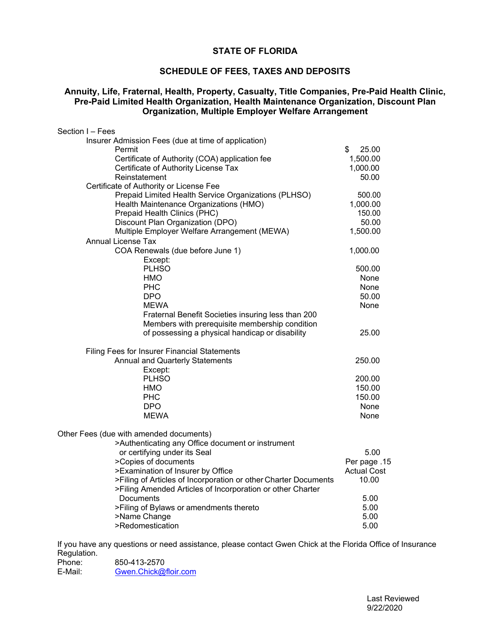### **STATE OF FLORIDA**

# **SCHEDULE OF FEES, TAXES AND DEPOSITS**

#### **Annuity, Life, Fraternal, Health, Property, Casualty, Title Companies, Pre-Paid Health Clinic, Pre-Paid Limited Health Organization, Health Maintenance Organization, Discount Plan Organization, Multiple Employer Welfare Arrangement**

| Section I - Fees                                                                             |                    |
|----------------------------------------------------------------------------------------------|--------------------|
| Insurer Admission Fees (due at time of application)                                          |                    |
| Permit                                                                                       | \$<br>25.00        |
| Certificate of Authority (COA) application fee                                               | 1,500.00           |
| Certificate of Authority License Tax                                                         | 1,000.00           |
| Reinstatement                                                                                | 50.00              |
| Certificate of Authority or License Fee                                                      |                    |
| Prepaid Limited Health Service Organizations (PLHSO)                                         | 500.00             |
| Health Maintenance Organizations (HMO)                                                       | 1,000.00           |
| Prepaid Health Clinics (PHC)                                                                 | 150.00             |
| Discount Plan Organization (DPO)                                                             | 50.00              |
| Multiple Employer Welfare Arrangement (MEWA)                                                 | 1,500.00           |
| <b>Annual License Tax</b>                                                                    |                    |
| COA Renewals (due before June 1)                                                             | 1,000.00           |
| Except:                                                                                      |                    |
| <b>PLHSO</b>                                                                                 | 500.00             |
| HMO                                                                                          | None               |
| <b>PHC</b>                                                                                   | None               |
| <b>DPO</b>                                                                                   | 50.00              |
| <b>MEWA</b>                                                                                  | None               |
| Fraternal Benefit Societies insuring less than 200                                           |                    |
| Members with prerequisite membership condition                                               |                    |
| of possessing a physical handicap or disability                                              | 25.00              |
| Filing Fees for Insurer Financial Statements                                                 |                    |
| Annual and Quarterly Statements                                                              | 250.00             |
| Except:                                                                                      |                    |
| <b>PLHSO</b>                                                                                 | 200.00             |
| HMO                                                                                          | 150.00             |
| <b>PHC</b>                                                                                   | 150.00             |
| <b>DPO</b>                                                                                   | None               |
| <b>MEWA</b>                                                                                  | None               |
|                                                                                              |                    |
| Other Fees (due with amended documents)<br>>Authenticating any Office document or instrument |                    |
| or certifying under its Seal                                                                 | 5.00               |
| >Copies of documents                                                                         | Per page .15       |
| >Examination of Insurer by Office                                                            | <b>Actual Cost</b> |
| >Filing of Articles of Incorporation or other Charter Documents                              | 10.00              |
| >Filing Amended Articles of Incorporation or other Charter                                   |                    |
| Documents                                                                                    | 5.00               |
| >Filing of Bylaws or amendments thereto                                                      | 5.00               |
| >Name Change                                                                                 | 5.00               |
| >Redomestication                                                                             | 5.00               |
|                                                                                              |                    |

If you have any questions or need assistance, please contact Gwen Chick at the Florida Office of Insurance Regulation.<br>Phone:

Phone: 850-413-2570<br>E-Mail: Gwen.Chick@1 [Gwen.Chick@floir.com](mailto:Gwen.Chick@floir.com)